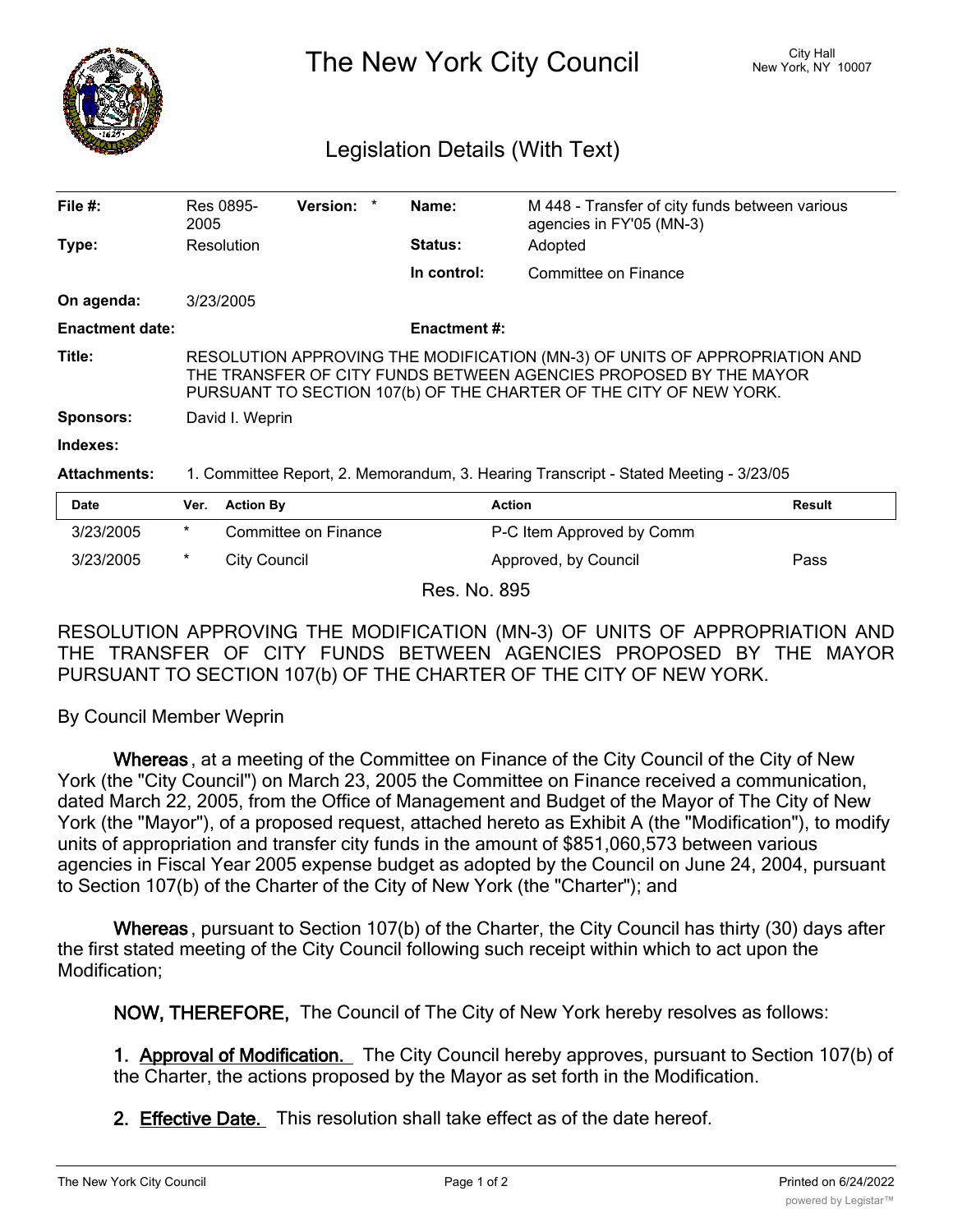

The New York City Council New York, NY 10007

## Legislation Details (With Text)

| File #:                | Res 0895-<br>2005                                                                                                                                                                                                     | <b>Version:</b>      |  | Name:          | M 448 - Transfer of city funds between various<br>agencies in FY'05 (MN-3) |               |
|------------------------|-----------------------------------------------------------------------------------------------------------------------------------------------------------------------------------------------------------------------|----------------------|--|----------------|----------------------------------------------------------------------------|---------------|
| Type:                  | Resolution                                                                                                                                                                                                            |                      |  | <b>Status:</b> | Adopted                                                                    |               |
|                        |                                                                                                                                                                                                                       |                      |  | In control:    | Committee on Finance                                                       |               |
| On agenda:             | 3/23/2005                                                                                                                                                                                                             |                      |  |                |                                                                            |               |
| <b>Enactment date:</b> | <b>Enactment #:</b>                                                                                                                                                                                                   |                      |  |                |                                                                            |               |
| Title:                 | RESOLUTION APPROVING THE MODIFICATION (MN-3) OF UNITS OF APPROPRIATION AND<br>THE TRANSFER OF CITY FUNDS BETWEEN AGENCIES PROPOSED BY THE MAYOR<br>PURSUANT TO SECTION 107(b) OF THE CHARTER OF THE CITY OF NEW YORK. |                      |  |                |                                                                            |               |
| <b>Sponsors:</b>       | David I. Weprin                                                                                                                                                                                                       |                      |  |                |                                                                            |               |
| Indexes:               |                                                                                                                                                                                                                       |                      |  |                |                                                                            |               |
| <b>Attachments:</b>    | 1. Committee Report, 2. Memorandum, 3. Hearing Transcript - Stated Meeting - 3/23/05                                                                                                                                  |                      |  |                |                                                                            |               |
| <b>Date</b>            | Ver.                                                                                                                                                                                                                  | <b>Action By</b>     |  |                | <b>Action</b>                                                              | <b>Result</b> |
| 3/23/2005              | *                                                                                                                                                                                                                     | Committee on Finance |  |                | P-C Item Approved by Comm                                                  |               |
| 3/23/2005              | *                                                                                                                                                                                                                     | <b>City Council</b>  |  |                | Approved, by Council                                                       | Pass          |

Res. No. 895

RESOLUTION APPROVING THE MODIFICATION (MN-3) OF UNITS OF APPROPRIATION AND THE TRANSFER OF CITY FUNDS BETWEEN AGENCIES PROPOSED BY THE MAYOR PURSUANT TO SECTION 107(b) OF THE CHARTER OF THE CITY OF NEW YORK.

By Council Member Weprin

**Whereas** , at a meeting of the Committee on Finance of the City Council of the City of New York (the "City Council") on March 23, 2005 the Committee on Finance received a communication, dated March 22, 2005, from the Office of Management and Budget of the Mayor of The City of New York (the "Mayor"), of a proposed request, attached hereto as Exhibit A (the "Modification"), to modify units of appropriation and transfer city funds in the amount of \$851,060,573 between various agencies in Fiscal Year 2005 expense budget as adopted by the Council on June 24, 2004, pursuant to Section 107(b) of the Charter of the City of New York (the "Charter"); and

**Whereas** , pursuant to Section 107(b) of the Charter, the City Council has thirty (30) days after the first stated meeting of the City Council following such receipt within which to act upon the Modification;

**NOW, THEREFORE,** The Council of The City of New York hereby resolves as follows:

**1. Approval of Modification.** The City Council hereby approves, pursuant to Section 107(b) of the Charter, the actions proposed by the Mayor as set forth in the Modification.

**2. Effective Date.** This resolution shall take effect as of the date hereof.